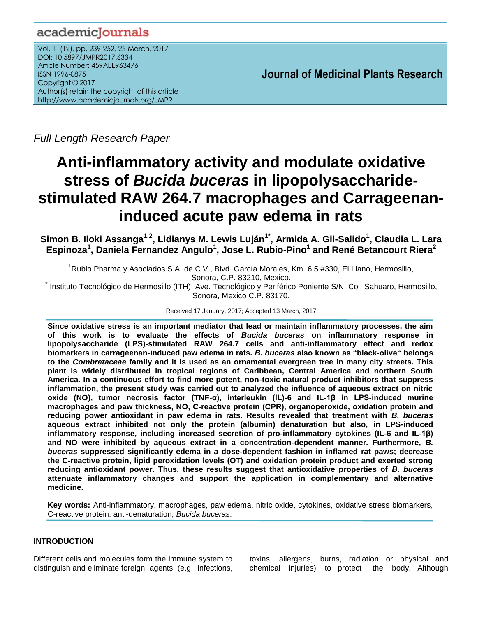# academicJournals

Vol. 11(12), pp. 239-252, 25 March, 2017 DOI: 10.5897/JMPR2017.6334 Article Number: 459AEE963476 ISSN 1996-0875 Copyright © 2017 Author(s) retain the copyright of this article http://www.academicjournals.org/JMPR

 **Journal of Medicinal Plants Research**

*Full Length Research Paper*

# **Anti-inflammatory activity and modulate oxidative stress of** *Bucida buceras* **in lipopolysaccharidestimulated RAW 264.7 macrophages and Carrageenaninduced acute paw edema in rats**

**Simon B. Iloki Assanga1,2, Lidianys M. Lewis Luján1\* , Armida A. Gil-Salido<sup>1</sup> , Claudia L. Lara Espinoza<sup>1</sup> , Daniela Fernandez Angulo<sup>1</sup> , Jose L. Rubio-Pino<sup>1</sup> and René Betancourt Riera<sup>2</sup>**

 $1$ Rubio Pharma y Asociados S.A. de C.V., Blvd. García Morales, Km. 6.5 #330, El Llano, Hermosillo, Sonora, C.P. 83210, Mexico.

<sup>2</sup> Instituto Tecnológico de Hermosillo (ITH) Ave. Tecnológico y Periférico Poniente S/N, Col. Sahuaro, Hermosillo, Sonora, Mexico C.P. 83170.

Received 17 January, 2017; Accepted 13 March, 2017

**Since oxidative stress is an important mediator that lead or maintain inflammatory processes, the aim of this work is to evaluate the effects of** *Bucida buceras* **on inflammatory response in lipopolysaccharide (LPS)-stimulated RAW 264.7 cells and anti-inflammatory effect and redox biomarkers in carrageenan-induced paw edema in rats.** *B. buceras* **also known as "black-olive" belongs to the** *Combretaceae* **family and it is used as an ornamental evergreen tree in many city streets. This plant is widely distributed in tropical regions of Caribbean, Central America and northern South America. In a continuous effort to find more potent, non-toxic natural product inhibitors that suppress inflammation, the present study was carried out to analyzed the influence of aqueous extract on nitric oxide (NO), tumor necrosis factor (TNF-α), interleukin (IL)-6 and IL-1β in LPS-induced murine macrophages and paw thickness, NO, C-reactive protein (CPR), organoperoxide, oxidation protein and reducing power antioxidant in paw edema in rats. Results revealed that treatment with** *B. buceras* **aqueous extract inhibited not only the protein (albumin) denaturation but also, in LPS-induced inflammatory response, including increased secretion of pro-inflammatory cytokines (IL-6 and IL-1β) and NO were inhibited by aqueous extract in a concentration-dependent manner. Furthermore,** *B. buceras* **suppressed significantly edema in a dose-dependent fashion in inflamed rat paws; decrease the C-reactive protein, lipid peroxidation levels (OT) and oxidation protein product and exerted strong reducing antioxidant power. Thus, these results suggest that antioxidative properties of** *B. buceras* **attenuate inflammatory changes and support the application in complementary and alternative medicine.**

**Key words:** Anti-inflammatory, macrophages, paw edema, nitric oxide, cytokines, oxidative stress biomarkers, C-reactive protein, anti-denaturation, *Bucida buceras*.

# **INTRODUCTION**

Different cells and molecules form the immune system to distinguish and eliminate foreign agents (e.g. infections,

toxins, allergens, burns, radiation or physical and chemical injuries) to protect the body. Although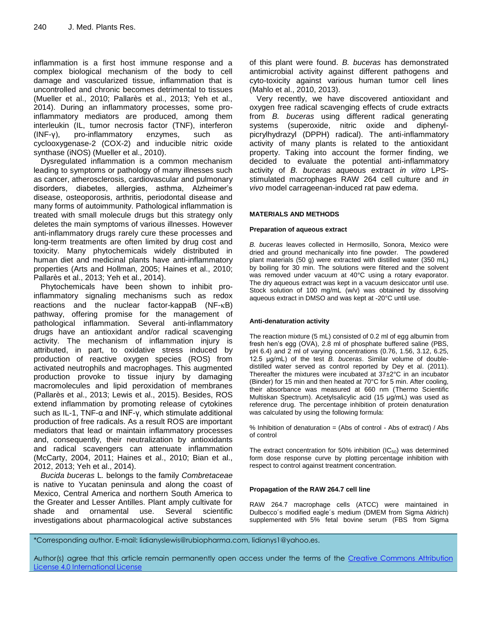inflammation is a first host immune response and a complex biological mechanism of the body to cell damage and vascularized tissue, inflammation that is uncontrolled and chronic becomes detrimental to tissues (Mueller et al., 2010; Pallarès et al., 2013; Yeh et al., 2014). During an inflammatory processes, some proinflammatory mediators are produced, among them interleukin (IL, tumor necrosis factor (TNF), interferon (INF-γ), pro-inflammatory enzymes, such as cyclooxygenase-2 (COX-2) and inducible nitric oxide synthase (iNOS) (Mueller et al., 2010).

Dysregulated inflammation is a common mechanism leading to symptoms or pathology of many illnesses such as cancer, atherosclerosis, cardiovascular and pulmonary disorders, diabetes, allergies, asthma, Alzheimer's disease, osteoporosis, arthritis, periodontal disease and many forms of autoimmunity. Pathological inflammation is treated with small molecule drugs but this strategy only deletes the main symptoms of various illnesses. However anti-inflammatory drugs rarely cure these processes and long-term treatments are often limited by drug cost and toxicity. Many phytochemicals widely distributed in human diet and medicinal plants have anti-inflammatory properties (Arts and Hollman, 2005; Haines et al., 2010; Pallarès et al., 2013; Yeh et al., 2014).

Phytochemicals have been shown to inhibit proinflammatory signaling mechanisms such as redox reactions and the nuclear factor-kappaB  $(NF-KB)$ pathway, offering promise for the management of pathological inflammation. Several anti-inflammatory drugs have an antioxidant and/or radical scavenging activity. The mechanism of inflammation injury is attributed, in part, to oxidative stress induced by production of reactive oxygen species (ROS) from activated neutrophils and macrophages. This augmented production provoke to tissue injury by damaging macromolecules and lipid peroxidation of membranes (Pallarès et al., 2013; Lewis et al., 2015). Besides, ROS extend inflammation by promoting release of cytokines such as IL-1, TNF-α and INF-γ, which stimulate additional production of free radicals. As a result ROS are important mediators that lead or maintain inflammatory processes and, consequently, their neutralization by antioxidants and radical scavengers can attenuate inflammation (McCarty, 2004, 2011; Haines et al., 2010; Bian et al., 2012, 2013; Yeh et al., 2014).

*Bucida buceras* L*.* belongs to the family *Combretaceae* is native to Yucatan peninsula and along the coast of Mexico, Central America and northern South America to the Greater and Lesser Antilles. Plant amply cultivate for shade and ornamental use. Several scientific investigations about pharmacological active substances of this plant were found. *B. buceras* has demonstrated antimicrobial activity against different pathogens and cyto-toxicity against various human tumor cell lines (Mahlo et al., 2010, 2013).

Very recently, we have discovered antioxidant and oxygen free radical scavenging effects of crude extracts from *B. buceras* using different radical generating systems (superoxide, nitric oxide and diphenylpicrylhydrazyl (DPPH) radical). The anti-inflammatory activity of many plants is related to the antioxidant property. Taking into account the former finding, we decided to evaluate the potential anti-inflammatory activity of *B. buceras* aqueous extract *in vitro* LPSstimulated macrophages RAW 264 cell culture and *in vivo* model carrageenan-induced rat paw edema.

# **MATERIALS AND METHODS**

#### **Preparation of aqueous extract**

*B. buceras* leaves collected in Hermosillo, Sonora, Mexico were dried and ground mechanically into fine powder. The powdered plant materials (50 g) were extracted with distilled water (350 mL) by boiling for 30 min. The solutions were filtered and the solvent was removed under vacuum at 40°C using a rotary evaporator. The dry aqueous extract was kept in a vacuum desiccator until use. Stock solution of 100 mg/mL (w/v) was obtained by dissolving aqueous extract in DMSO and was kept at -20°C until use.

#### **Anti-denaturation activity**

The reaction mixture (5 mL) consisted of 0.2 ml of egg albumin from fresh hen's egg (OVA), 2.8 ml of phosphate buffered saline (PBS, pH 6.4) and 2 ml of varying concentrations (0.76, 1.56, 3.12, 6.25, 12.5 μg/mL) of the test *B. buceras*. Similar volume of doubledistilled water served as control reported by Dey et al. (2011). Thereafter the mixtures were incubated at 37±2°C in an incubator (Binder) for 15 min and then heated at 70°C for 5 min. After cooling, their absorbance was measured at 660 nm (Thermo Scientific Multiskan Spectrum). Acetylsalicylic acid (15 μg/mL) was used as reference drug. The percentage inhibition of protein denaturation was calculated by using the following formula:

% Inhibition of denaturation = (Abs of control - Abs of extract) / Abs of control

The extract concentration for 50% inhibition  $(IC_{50})$  was determined form dose response curve by plotting percentage inhibition with respect to control against treatment concentration.

#### **Propagation of the RAW 264.7 cell line**

RAW 264.7 macrophage cells (ATCC) were maintained in Dulbecco´s modified eagle´s medium (DMEM from Sigma Aldrich) supplemented with 5% fetal bovine serum (FBS from Sigma

\*Corresponding author. E-mail: lidianyslewis@rubiopharma.com, lidianys1@yahoo.es.

Author(s) agree that this article remain permanently open access under the terms of the Creative Commons [Attribution](http://creativecommons.org/licenses/by/4.0/deed.en_US)  License 4.0 [International](http://creativecommons.org/licenses/by/4.0/deed.en_US) License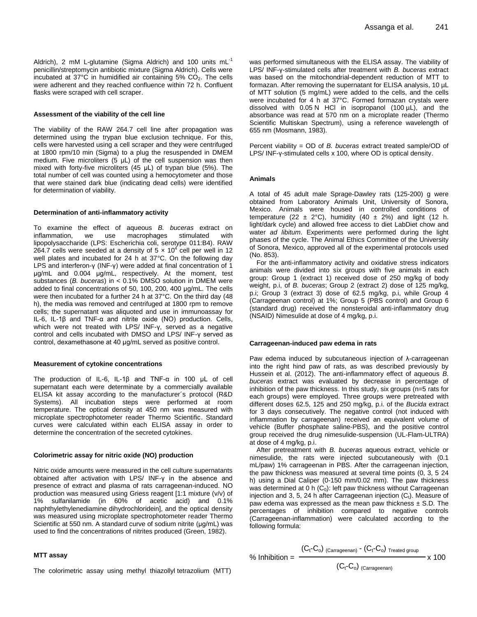Aldrich), 2 mM L-glutamine (Sigma Aldrich) and 100 units mL<sup>-1</sup> penicillin/streptomycin antibiotic mixture (Sigma Aldrich). Cells were incubated at  $37^{\circ}$ C in humidified air containing  $5\%$  CO<sub>2</sub>. The cells were adherent and they reached confluence within 72 h. Confluent flasks were scraped with cell scraper.

#### **Assessment of the viability of the cell line**

The viability of the RAW 264.7 cell line after propagation was determined using the trypan blue exclusion technique. For this, cells were harvested using a cell scraper and they were centrifuged at 1800 rpm/10 min (Sigma) to a plug the resuspended in DMEM medium. Five microliters (5 μL) of the cell suspension was then mixed with forty-five microliters (45 μL) of trypan blue (5%). The total number of cell was counted using a hemocytometer and those that were stained dark blue (indicating dead cells) were identified for determination of viability.

#### **Determination of anti-inflammatory activity**

To examine the effect of aqueous *B. buceras* extract on inflammation, we use macrophages stimulated with lipopolysaccharide (LPS: Escherichia coli, serotype 011:B4). RAW 264.7 cells were seeded at a density of 5  $\times$  10<sup>4</sup> cell per well in 12 well plates and incubated for 24 h at 37°C. On the following day LPS and interferon-γ (INF-γ) were added at final concentration of 1 μg/mL and 0.004 μg/mL, respectively. At the moment, test substances (*B. buceras*) in < 0.1% DMSO solution in DMEM were added to final concentrations of 50, 100, 200, 400 μg/mL. The cells were then incubated for a further 24 h at 37°C. On the third day (48 h), the media was removed and centrifuged at 1800 rpm to remove cells; the supernatant was aliquoted and use in immunoassay for IL-6, IL-1β and TNF-α and nitrite oxide (NO) production. Cells, which were not treated with LPS/ INF-γ, served as a negative control and cells incubated with DMSO and LPS/ INF-γ served as control, dexamethasone at 40 μg/mL served as positive control.

#### **Measurement of cytokine concentrations**

The production of IL-6, IL-1β and TNF-α in 100 μL of cell supernatant each were determinate by a commercially available ELISA kit assay according to the manufacturer´s protocol (R&D Systems). All incubation steps were performed at room temperature. The optical density at 450 nm was measured with microplate spectrophotometer reader Thermo Scientific. Standard curves were calculated within each ELISA assay in order to determine the concentration of the secreted cytokines.

#### **Colorimetric assay for nitric oxide (NO) production**

Nitric oxide amounts were measured in the cell culture supernatants obtained after activation with LPS/ INF-γ in the absence and presence of extract and plasma of rats carrageenan-induced. NO production was measured using Griess reagent [1:1 mixture (v/v) of 1% sulfanilamide (in 60% of acetic acid) and 0.1% naphthylethylenediamine dihydrochloridein], and the optical density was measured using microplate spectrophotometer reader Thermo Scientific at 550 nm. A standard curve of sodium nitrite (μg/mL) was used to find the concentrations of nitrites produced (Green, 1982).

#### **MTT assay**

The colorimetric assay using methyl thiazollyl tetrazolium (MTT)

was performed simultaneous with the ELISA assay. The viability of LPS/ INF-γ-stimulated cells after treatment with *B. buceras* extract was based on the mitochondrial-dependent reduction of MTT to formazan. After removing the supernatant for ELISA analysis, 10 µL of MTT solution (5 mg/mL) were added to the cells, and the cells were incubated for 4 h at 37°C. Formed formazan crystals were dissolved with  $0.05$  N HCl in isopropanol (100  $\mu$ L), and the absorbance was read at 570 nm on a microplate reader (Thermo Scientific Multiskan Spectrum), using a reference wavelength of 655 nm (Mosmann, 1983).

Percent viability = OD of *B. buceras* extract treated sample/OD of LPS/ INF-γ-stimulated cells x 100, where OD is optical density.

#### **Animals**

A total of 45 adult male Sprage-Dawley rats (125-200) g were obtained from Laboratory Animals Unit, University of Sonora, Mexico. Animals were housed in controlled conditions of temperature (22  $\pm$  2°C), humidity (40  $\pm$  2%) and light (12 h. light/dark cycle) and allowed free access to diet LabDiet chow and water *ad libitum*. Experiments were performed during the light phases of the cycle. The Animal Ethics Committee of the University of Sonora, Mexico, approved all of the experimental protocols used (No. 853).

For the anti-inflammatory activity and oxidative stress indicators animals were divided into six groups with five animals in each group: Group 1 (extract 1) received dose of 250 mg/kg of body weight, p.i, of *B. buceras*; Group 2 (extract 2) dose of 125 mg/kg, p.i; Group 3 (extract 3) dose of 62.5 mg/kg, p.i, while Group 4 (Carrageenan control) at 1%; Group 5 (PBS control) and Group 6 (standard drug) received the nonsteroidal anti-inflammatory drug (NSAID) Nimesulide at dose of 4 mg/kg, p.i.

#### **Carrageenan-induced paw edema in rats**

Paw edema induced by subcutaneous injection of λ-carrageenan into the right hind paw of rats, as was described previously by Hussein et al. (2012). The anti-inflammatory effect of aqueous *B. buceras* extract was evaluated by decrease in percentage of inhibition of the paw thickness. In this study, six groups (n=5 rats for each groups) were employed. Three groups were pretreated with different doses 62.5, 125 and 250 mg/kg, p.i. of the *Bucida* extract for 3 days consecutively. The negative control (not induced with inflammation by carrageenan) received an equivalent volume of vehicle (Buffer phosphate saline-PBS), and the positive control group received the drug nimesulide-suspension (UL-Flam-ULTRA) at dose of 4 mg/kg, p.i.

After pretreatment with *B. buceras* aqueous extract, vehicle or nimesulide, the rats were injected subcutaneously with (0.1 mL/paw) 1% carrageenan in PBS. After the carrageenan injection, the paw thickness was measured at several time points (0, 3, 5 24 h) using a Dial Caliper (0-150 mm/0.02 mm). The paw thickness was determined at 0 h  $(C_0)$ : left paw thickness without Carrageenan injection and 3, 5, 24 h after Carrageenan injection  $(C_t)$ . Measure of paw edema was expressed as the mean paw thickness  $\pm$  S.D. The percentages of inhibition compared to negative controls (Carrageenan-inflammation) were calculated according to the following formula:

$$
\% Inhibition = \frac{(C_t - C_o)_{(Carrageenan)} - (C_t - C_o)_{Treated group}}{}
$$

$$
\frac{\% \text{ Inhibition} = \frac{1}{100}}{(C - C) \cdot \text{C}} \times 100
$$

$$
(\mathsf{C}_{\mathsf{t}}\text{-}\mathsf{C}_{\mathsf{o}})_{(\mathsf{Carrageenan})}
$$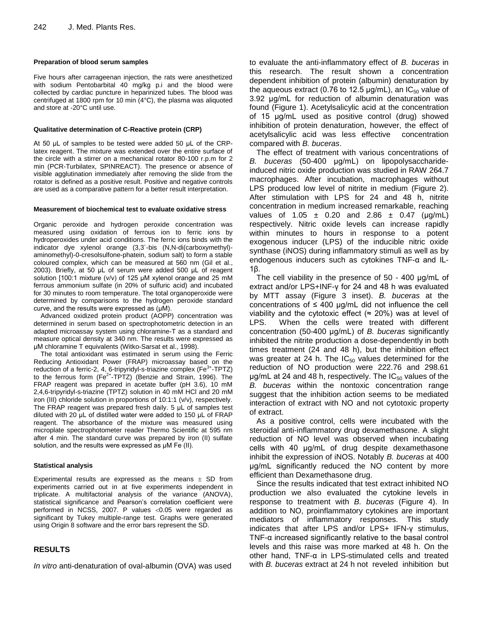#### **Preparation of blood serum samples**

Five hours after carrageenan injection, the rats were anesthetized with sodium Pentobarbital 40 mg/kg p.i and the blood were collected by cardiac puncture in heparinized tubes. The blood was centrifuged at 1800 rpm for 10 min (4°C), the plasma was aliquoted and store at -20°C until use.

#### **Qualitative determination of C-Reactive protein (CRP)**

At 50 μL of samples to be tested were added 50 μL of the CRPlatex reagent. The mixture was extended over the entire surface of the circle with a stirrer on a mechanical rotator 80-100 r.p.m for 2 min (PCR-Turbilatex, SPINREACT). The presence or absence of visible agglutination immediately after removing the slide from the rotator is defined as a positive result. Positive and negative controls are used as a comparative pattern for a better result interpretation.

#### **Measurement of biochemical test to evaluate oxidative stress**

Organic peroxide and hydrogen peroxide concentration was measured using oxidation of ferrous ion to ferric ions by hydroperoxides under acid conditions. The ferric ions binds with the indicator dye xylenol orange (3,3´-bis (N,N-di(carboxymethyl) aminomethyl)-0-cresolsulfone-phatein, sodium salt) to form a stable coloured complex, which can be measured at 560 nm (Gil et al., 2003). Briefly, at 50 μL of serum were added 500 μL of reagent solution [100:1 mixture (v/v) of 125 μM xylenol orange and 25 mM ferrous ammonium sulfate (in 20% of sulfuric acid) and incubated for 30 minutes to room temperature. The total organoperoxide were determined by comparisons to the hydrogen peroxide standard curve, and the results were expressed as (μM).

Advanced oxidized protein product (AOPP) concentration was determined in serum based on spectrophotometric detection in an adapted microassay system using chloramine-T as a standard and measure optical density at 340 nm. The results were expressed as μM chloramine T equivalents (Witko-Sarsat et al., 1998).

The total antioxidant was estimated in serum using the Ferric Reducing Antioxidant Power (FRAP) microassay based on the reduction of a ferric-2, 4, 6-tripyridyl-s-triazine complex (Fe<sup>3+</sup>-TPTZ) to the ferrous form  $(Fe^{2+}-TPTZ)$  (Benzie and Strain, 1996). The FRAP reagent was prepared in acetate buffer (pH 3.6), 10 mM 2,4,6-tripyridyl-s-triazine (TPTZ) solution in 40 mM HCl and 20 mM iron (III) chloride solution in proportions of 10:1:1 (v/v), respectively. The FRAP reagent was prepared fresh daily. 5 μL of samples test diluted with 20 μL of distilled water were added to 150 μL of FRAP reagent. The absorbance of the mixture was measured using microplate spectrophotometer reader Thermo Scientific at 595 nm after 4 min. The standard curve was prepared by iron (II) sulfate solution, and the results were expressed as μM Fe (II).

# **Statistical analysis**

Experimental results are expressed as the means  $\pm$  SD from experiments carried out in at five experiments independent in triplicate. A multifactorial analysis of the variance (ANOVA), statistical significance and Pearson's correlation coefficient were performed in NCSS, 2007. P values <0.05 were regarded as significant by Tukey multiple-range test. Graphs were generated using Origin 8 software and the error bars represent the SD.

# **RESULTS**

*In vitro* anti-denaturation of oval-albumin (OVA) was used

to evaluate the anti-inflammatory effect of *B. buceras* in this research. The result shown a concentration dependent inhibition of protein (albumin) denaturation by the aqueous extract (0.76 to 12.5  $\mu$ g/mL), an IC<sub>50</sub> value of 3.92 μg/mL for reduction of albumin denaturation was found (Figure 1). Acetylsalicylic acid at the concentration of 15 μg/mL used as positive control (drug) showed inhibition of protein denaturation, however, the effect of acetylsalicylic acid was less effective concentration compared with *B. buceras*.

The effect of treatment with various concentrations of *B. buceras* (50-400 μg/mL) on lipopolysaccharideinduced nitric oxide production was studied in RAW 264.7 macrophages. After incubation, macrophages without LPS produced low level of nitrite in medium (Figure 2). After stimulation with LPS for 24 and 48 h, nitrite concentration in medium increased remarkable, reaching values of 1.05  $\pm$  0.20 and 2.86  $\pm$  0.47 ( $\mu$ g/mL) respectively. Nitric oxide levels can increase rapidly within minutes to hours in response to a potent exogenous inducer (LPS) of the inducible nitric oxide synthase (iNOS) during inflammatory stimuli as well as by endogenous inducers such as cytokines TNF-α and IL-1β.

The cell viability in the presence of 50 - 400 μg/mL of extract and/or LPS+INF-γ for 24 and 48 h was evaluated by MTT assay (Figure 3 inset). *B. buceras* at the concentrations of  $\leq 400$  µg/mL did not influence the cell viability and the cytotoxic effect ( $\approx$  20%) was at level of LPS. When the cells were treated with different concentration (50-400 μg/mL) of *B. buceras* significantly inhibited the nitrite production a dose-dependently in both times treatment (24 and 48 h), but the inhibition effect was greater at 24 h. The  $IC_{50}$  values determined for the reduction of NO production were 222.76 and 298.61  $\mu$ g/mL at 24 and 48 h, respectively. The IC<sub>50</sub> values of the *B. buceras* within the nontoxic concentration range suggest that the inhibition action seems to be mediated interaction of extract with NO and not cytotoxic property of extract.

As a positive control, cells were incubated with the steroidal anti-inflammatory drug dexamethasone. A slight reduction of NO level was observed when incubating cells with 40 μg/mL of drug despite dexamethasone inhibit the expression of iNOS. Notably *B. buceras* at 400 μg/mL significantly reduced the NO content by more efficient than Dexamethasone drug.

Since the results indicated that test extract inhibited NO production we also evaluated the cytokine levels in response to treatment with *B. buceras* (Figure 4). In addition to NO, proinflammatory cytokines are important mediators of inflammatory responses. This study indicates that after LPS and/or LPS+ IFN-γ stimulus, TNF-α increased significantly relative to the basal control levels and this raise was more marked at 48 h. On the other hand, TNF-α in LPS-stimulated cells and treated with *B. buceras* extract at 24 h not reveled inhibition but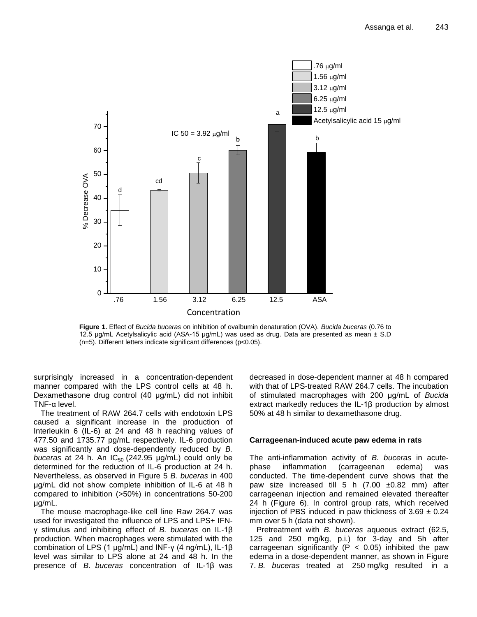

**Figure 1.** Effect of *Bucida buceras* on inhibition of ovalbumin denaturation (OVA). *Bucida buceras* (0.76 to 12.5 μg/mL Acetylsalicylic acid (ASA-15 μg/mL) was used as drug. Data are presented as mean ± S.D (n=5). Different letters indicate significant differences (p<0.05).

surprisingly increased in a concentration-dependent manner compared with the LPS control cells at 48 h. Dexamethasone drug control (40 μg/mL) did not inhibit TNF-α level.

The treatment of RAW 264.7 cells with endotoxin LPS caused a significant increase in the production of Interleukin 6 (IL-6) at 24 and 48 h reaching values of 477.50 and 1735.77 pg/mL respectively. IL-6 production was significantly and dose-dependently reduced by *B. buceras* at 24 h. An  $IC_{50}$  (242.95  $\mu$ g/mL) could only be determined for the reduction of IL-6 production at 24 h. Nevertheless, as observed in Figure 5 *B. buceras* in 400 μg/mL did not show complete inhibition of IL-6 at 48 h compared to inhibition (>50%) in concentrations 50-200 μg/mL.

The mouse macrophage-like cell line Raw 264.7 was used for investigated the influence of LPS and LPS+ IFNγ stimulus and inhibiting effect of *B. buceras* on IL-1β production. When macrophages were stimulated with the combination of LPS (1 μg/mL) and INF-γ (4 ng/mL), IL-1β level was similar to LPS alone at 24 and 48 h. In the presence of *B. buceras* concentration of IL-1β was

decreased in dose-dependent manner at 48 h compared with that of LPS-treated RAW 264.7 cells. The incubation of stimulated macrophages with 200 μg/mL of *Bucida* extract markedly reduces the IL-1β production by almost 50% at 48 h similar to dexamethasone drug.

# **Carrageenan-induced acute paw edema in rats**

The anti-inflammation activity of *B. buceras* in acutephase inflammation (carrageenan edema) was conducted. The time-dependent curve shows that the paw size increased till 5 h  $(7.00 \pm 0.82 \text{ mm})$  after carrageenan injection and remained elevated thereafter 24 h (Figure 6). In control group rats, which received injection of PBS induced in paw thickness of  $3.69 \pm 0.24$ mm over 5 h (data not shown).

Pretreatment with *B. buceras* aqueous extract (62.5, 125 and 250 mg/kg, p.i.) for 3-day and 5h after carrageenan significantly ( $P < 0.05$ ) inhibited the paw edema in a dose-dependent manner, as shown in Figure 7. *B. buceras* treated at 250 mg/kg resulted in a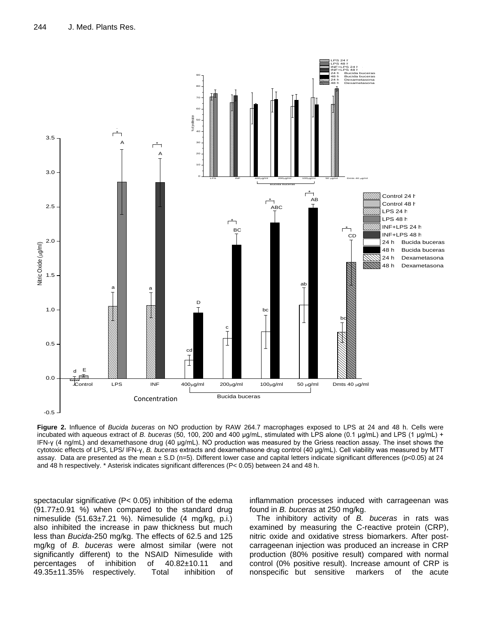

**Figure 2.** Influence of *Bucida buceras* on NO production by RAW 264.7 macrophages exposed to LPS at 24 and 48 h. Cells were incubated with aqueous extract of *B. buceras* (50, 100, 200 and 400 μg/mL, stimulated with LPS alone (0.1 μg/mL) and LPS (1 μg/mL) + IFN-γ (4 ng/mL) and dexamethasone drug (40 μg/mL). NO production was measured by the Griess reaction assay. The inset shows the cytotoxic effects of LPS, LPS/ IFN-γ, *B. buceras* extracts and dexamethasone drug control (40 μg/mL). Cell viability was measured by MTT assay. Data are presented as the mean ± S.D (n=5). Different lower case and capital letters indicate significant differences (p<0.05) at 24 and 48 h respectively. \* Asterisk indicates significant differences (P< 0.05) between 24 and 48 h.

spectacular significative (P< 0.05) inhibition of the edema  $(91.77\pm0.91)$  %) when compared to the standard drug nimesulide (51.63±7.21 %). Nimesulide (4 mg/kg, p.i.) also inhibited the increase in paw thickness but much less than *Bucida*-250 mg/kg. The effects of 62.5 and 125 mg/kg of *B. buceras* were almost similar (were not significantly different) to the NSAID Nimesulide with percentages of inhibition of 40.82±10.11 and 49.35±11.35% respectively. Total inhibition of

inflammation processes induced with carrageenan was found in *B. buceras* at 250 mg/kg.

The inhibitory activity of *B. buceras* in rats was examined by measuring the C-reactive protein (CRP), nitric oxide and oxidative stress biomarkers. After postcarrageenan injection was produced an increase in CRP production (80% positive result) compared with normal control (0% positive result). Increase amount of CRP is nonspecific but sensitive markers of the acute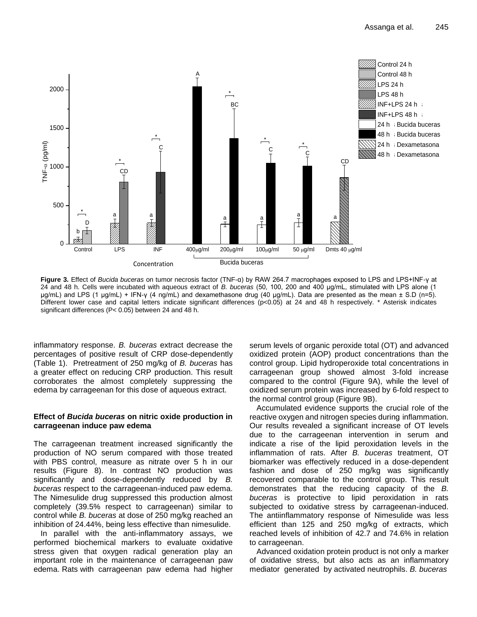

**Figure 3.** Effect of *Bucida buceras* on tumor necrosis factor (TNF-α) by RAW 264.7 macrophages exposed to LPS and LPS+INF-γ at 24 and 48 h. Cells were incubated with aqueous extract of *B. buceras* (50, 100, 200 and 400 μg/mL, stimulated with LPS alone (1 μg/mL) and LPS (1 μg/mL) + IFN-γ (4 ng/mL) and dexamethasone drug (40 μg/mL). Data are presented as the mean ± S.D (n=5). Different lower case and capital letters indicate significant differences (p<0.05) at 24 and 48 h respectively. \* Asterisk indicates significant differences (P< 0.05) between 24 and 48 h.

inflammatory response. *B. buceras* extract decrease the percentages of positive result of CRP dose-dependently (Table 1). Pretreatment of 250 mg/kg of *B. buceras* has a greater effect on reducing CRP production. This result corroborates the almost completely suppressing the edema by carrageenan for this dose of aqueous extract.

# **Effect of** *Bucida buceras* **on nitric oxide production in carrageenan induce paw edema**

The carrageenan treatment increased significantly the production of NO serum compared with those treated with PBS control, measure as nitrate over 5 h in our results (Figure 8). In contrast NO production was significantly and dose-dependently reduced by *B. buceras* respect to the carrageenan-induced paw edema. The Nimesulide drug suppressed this production almost completely (39.5% respect to carrageenan) similar to control while *B. buceras* at dose of 250 mg/kg reached an inhibition of 24.44%, being less effective than nimesulide.

In parallel with the anti-inflammatory assays, we performed biochemical markers to evaluate oxidative stress given that oxygen radical generation play an important role in the maintenance of carrageenan paw edema. Rats with carrageenan paw edema had higher serum levels of organic peroxide total (OT) and advanced oxidized protein (AOP) product concentrations than the control group. Lipid hydroperoxide total concentrations in carrageenan group showed almost 3-fold increase compared to the control (Figure 9A), while the level of oxidized serum protein was increased by 6-fold respect to the normal control group (Figure 9B).

Accumulated evidence supports the crucial role of the reactive oxygen and nitrogen species during inflammation. Our results revealed a significant increase of OT levels due to the carrageenan intervention in serum and indicate a rise of the lipid peroxidation levels in the inflammation of rats. After *B. buceras* treatment, OT biomarker was effectively reduced in a dose-dependent fashion and dose of 250 mg/kg was significantly recovered comparable to the control group. This result demonstrates that the reducing capacity of the *B. buceras* is protective to lipid peroxidation in rats subjected to oxidative stress by carrageenan-induced. The antiinflammatory response of Nimesulide was less efficient than 125 and 250 mg/kg of extracts, which reached levels of inhibition of 42.7 and 74.6% in relation to carrageenan.

Advanced oxidation protein product is not only a marker of oxidative stress, but also acts as an inflammatory mediator generated by activated neutrophils. *B. buceras*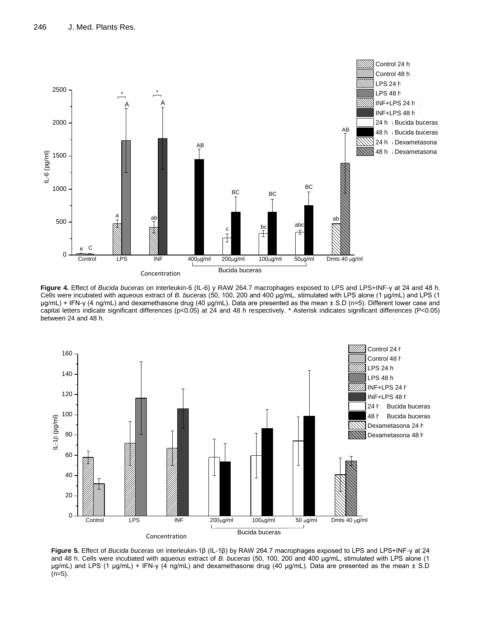

**Figure 4.** Effect of *Bucida buceras* on interleukin-6 (IL-6) y RAW 264.7 macrophages exposed to LPS and LPS+INF-γ at 24 and 48 h. Cells were incubated with aqueous extract of *B. buceras* (50, 100, 200 and 400 μg/mL, stimulated with LPS alone (1 μg/mL) and LPS (1 μg/mL) + IFN-γ (4 ng/mL) and dexamethasone drug (40 μg/mL). Data are presented as the mean ± S.D (n=5). Different lower case and capital letters indicate significant differences (p<0.05) at 24 and 48 h respectively. \* Asterisk indicates significant differences (P<0.05) between 24 and 48 h.



**Figure 5.** Effect of *Bucida buceras* on interleukin-1β (IL-1β) by RAW 264.7 macrophages exposed to LPS and LPS+INF-γ at 24 and 48 h. Cells were incubated with aqueous extract of *B. buceras* (50, 100, 200 and 400 μg/mL, stimulated with LPS alone (1 μg/mL) and LPS (1 μg/mL) + IFN-γ (4 ng/mL) and dexamethasone drug (40 μg/mL). Data are presented as the mean ± S.D  $(n=5)$ .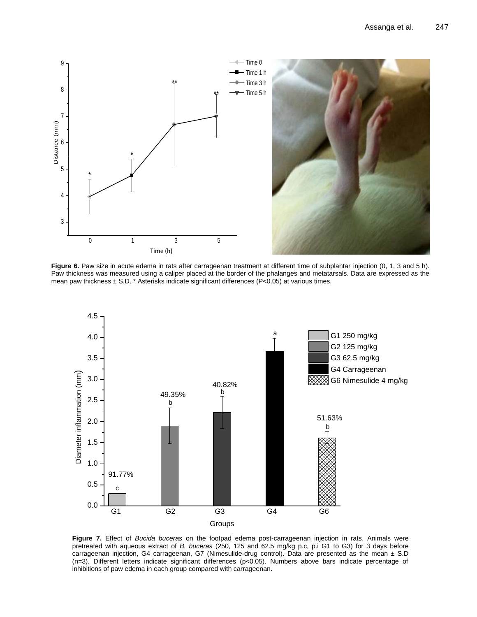

Figure 6. Paw size in acute edema in rats after carrageenan treatment at different time of subplantar injection (0, 1, 3 and 5 h). Paw thickness was measured using a caliper placed at the border of the phalanges and metatarsals. Data are expressed as the mean paw thickness  $\pm$  S.D. \* Asterisks indicate significant differences (P<0.05) at various times.



**Figure 7.** Effect of *Bucida buceras* on the footpad edema post-carrageenan injection in rats. Animals were pretreated with aqueous extract of *B. buceras* (250, 125 and 62.5 mg/kg p.c, p.i G1 to G3) for 3 days before carrageenan injection, G4 carrageenan, G7 (Nimesulide-drug control). Data are presented as the mean ± S.D (n=3). Different letters indicate significant differences (p<0.05). Numbers above bars indicate percentage of inhibitions of paw edema in each group compared with carrageenan.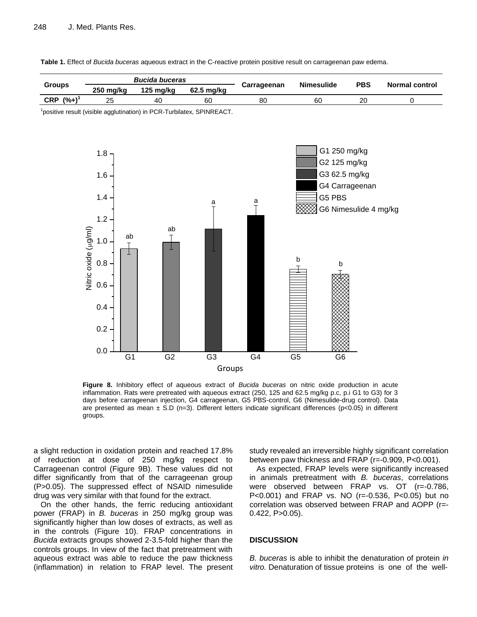

**Table 1.** Effect of *Bucida buceras* aqueous extract in the C-reactive protein positive result on carrageenan paw edema.

**Figure 8.** Inhibitory effect of aqueous extract of *Bucida buceras* on nitric oxide production in acute inflammation. Rats were pretreated with aqueous extract (250, 125 and 62.5 mg/kg p.c, p.i G1 to G3) for 3 days before carrageenan injection, G4 carrageenan, G5 PBS-control, G6 (Nimesulide-drug control). Data are presented as mean  $\pm$  S.D (n=3). Different letters indicate significant differences (p<0.05) in different groups.

a slight reduction in oxidation protein and reached 17.8% of reduction at dose of 250 mg/kg respect to Carrageenan control (Figure 9B). These values did not differ significantly from that of the carrageenan group (P>0.05). The suppressed effect of NSAID nimesulide drug was very similar with that found for the extract.

On the other hands, the ferric reducing antioxidant power (FRAP) in *B. buceras* in 250 mg/kg group was significantly higher than low doses of extracts, as well as in the controls (Figure 10). FRAP concentrations in *Bucida* extracts groups showed 2-3.5-fold higher than the controls groups. In view of the fact that pretreatment with aqueous extract was able to reduce the paw thickness (inflammation) in relation to FRAP level. The present

study revealed an irreversible highly significant correlation between paw thickness and FRAP (r=-0.909, P<0.001).

As expected, FRAP levels were significantly increased in animals pretreatment with *B. buceras*, correlations were observed between FRAP vs. OT (r=-0.786, P<0.001) and FRAP vs. NO (r=-0.536, P<0.05) but no correlation was observed between FRAP and AOPP (r=- 0.422, P>0.05).

# **DISCUSSION**

*B. buceras* is able to inhibit the denaturation of protein *in vitro.* Denaturation of tissue proteins is one of the well-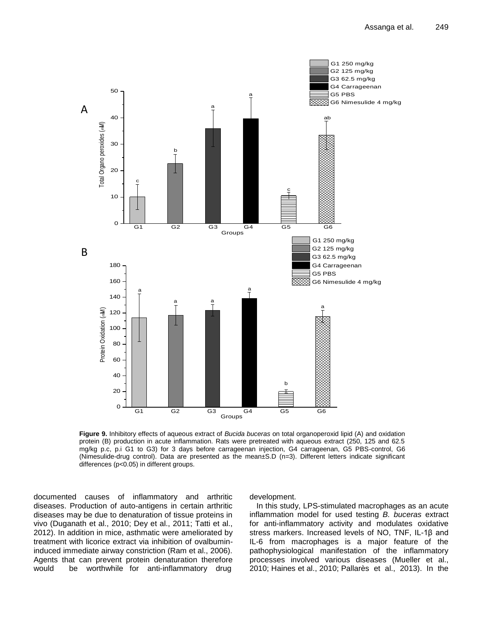

**Figure 9.** Inhibitory effects of aqueous extract of *Bucida buceras* on total organoperoxid lipid (A) and oxidation protein (B) production in acute inflammation. Rats were pretreated with aqueous extract (250, 125 and 62.5 mg/kg p.c, p.i G1 to G3) for 3 days before carrageenan injection, G4 carrageenan, G5 PBS-control, G6 (Nimesulide-drug control). Data are presented as the mean±S.D (n=3). Different letters indicate significant differences (p<0.05) in different groups.

documented causes of inflammatory and arthritic diseases. Production of auto-antigens in certain arthritic diseases may be due to denaturation of tissue proteins in vivo (Duganath et al., 2010; Dey et al., 2011; Tatti et al., 2012). In addition in mice, asthmatic were ameliorated by treatment with licorice extract via inhibition of ovalbumininduced immediate airway constriction (Ram et al., 2006). Agents that can prevent protein denaturation therefore would be worthwhile for anti-inflammatory drug

development.

In this study, LPS-stimulated macrophages as an acute inflammation model for used testing *B. buceras* extract for anti-inflammatory activity and modulates oxidative stress markers. Increased levels of NO, TNF, IL-1β and IL-6 from macrophages is a major feature of the pathophysiological manifestation of the inflammatory processes involved various diseases (Mueller et al.,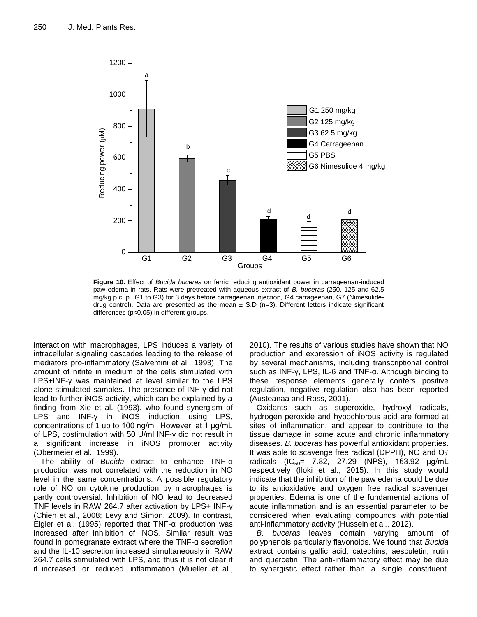

**Figure 10.** Effect of *Bucida buceras* on ferric reducing antioxidant power in carrageenan-induced paw edema in rats. Rats were pretreated with aqueous extract of *B. buceras* (250, 125 and 62.5 mg/kg p.c, p.i G1 to G3) for 3 days before carrageenan injection, G4 carrageenan, G7 (Nimesulidedrug control). Data are presented as the mean  $\pm$  S.D (n=3). Different letters indicate significant differences (p<0.05) in different groups.

interaction with macrophages, LPS induces a variety of intracellular signaling cascades leading to the release of mediators pro-inflammatory (Salvemini et al., 1993). The amount of nitrite in medium of the cells stimulated with LPS+INF-γ was maintained at level similar to the LPS alone-stimulated samples. The presence of INF-γ did not lead to further iNOS activity, which can be explained by a finding from Xie et al. (1993), who found synergism of LPS and INF-γ in iNOS induction using LPS, concentrations of 1 up to 100 ng/ml. However, at 1 μg/mL of LPS, costimulation with 50 U/ml INF-γ did not result in a significant increase in iNOS promoter activity (Obermeier et al., 1999).

The ability of *Bucida* extract to enhance TNF-α production was not correlated with the reduction in NO level in the same concentrations. A possible regulatory role of NO on cytokine production by macrophages is partly controversial. Inhibition of NO lead to decreased TNF levels in RAW 264.7 after activation by LPS+ INF-γ (Chien et al., 2008; Levy and Simon, 2009). In contrast, Eigler et al. (1995) reported that TNF-α production was increased after inhibition of iNOS. Similar result was found in pomegranate extract where the TNF-α secretion and the IL-10 secretion increased simultaneously in RAW 264.7 cells stimulated with LPS, and thus it is not clear if it increased or reduced inflammation (Mueller et al., 2010). The results of various studies have shown that NO production and expression of iNOS activity is regulated by several mechanisms, including transcriptional control such as INF-γ, LPS, IL-6 and TNF-α. Although binding to these response elements generally confers positive regulation, negative regulation also has been reported (Austeanaa and Ross, 2001).

Oxidants such as superoxide, hydroxyl radicals, hydrogen peroxide and hypochlorous acid are formed at sites of inflammation, and appear to contribute to the tissue damage in some acute and chronic inflammatory diseases. *B. buceras* has powerful antioxidant properties. It was able to scavenge free radical (DPPH), NO and  $O_2$ radicals (IC<sub>50</sub>= 7.82, 27.29 (NPS), 163.92  $\mu$ g/mL respectively (Iloki et al., 2015). In this study would indicate that the inhibition of the paw edema could be due to its antioxidative and oxygen free radical scavenger properties. Edema is one of the fundamental actions of acute inflammation and is an essential parameter to be considered when evaluating compounds with potential anti-inflammatory activity (Hussein et al., 2012).

*B. buceras* leaves contain varying amount of polyphenols particularly flavonoids. We found that *Bucida* extract contains gallic acid, catechins, aesculetin, rutin and quercetin. The anti-inflammatory effect may be due to synergistic effect rather than a single constituent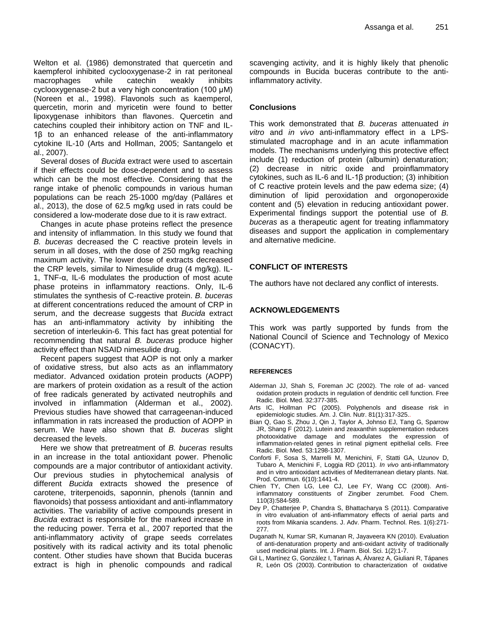Welton et al. (1986) demonstrated that quercetin and kaempferol inhibited cyclooxygenase-2 in rat peritoneal macrophages while catechin weakly inhibits cyclooxygenase-2 but a very high concentration (100 μM) (Noreen et al., 1998). Flavonols such as kaemperol, quercetin, morin and myricetin were found to better lipoxygenase inhibitors than flavones. Quercetin and catechins coupled their inhibitory action on TNF and IL-1β to an enhanced release of the anti-inflammatory cytokine IL-10 (Arts and Hollman, 2005; Santangelo et al., 2007).

Several doses of *Bucida* extract were used to ascertain if their effects could be dose-dependent and to assess which can be the most effective. Considering that the range intake of phenolic compounds in various human populations can be reach 25-1000 mg/day (Palláres et al., 2013), the dose of 62.5 mg/kg used in rats could be considered a low-moderate dose due to it is raw extract.

Changes in acute phase proteins reflect the presence and intensity of inflammation. In this study we found that *B. buceras* decreased the C reactive protein levels in serum in all doses, with the dose of 250 mg/kg reaching maximum activity. The lower dose of extracts decreased the CRP levels, similar to Nimesulide drug (4 mg/kg). IL-1, TNF-α, IL-6 modulates the production of most acute phase proteins in inflammatory reactions. Only, IL-6 stimulates the synthesis of C-reactive protein. *B. buceras* at different concentrations reduced the amount of CRP in serum, and the decrease suggests that *Bucida* extract has an anti-inflammatory activity by inhibiting the secretion of interleukin-6. This fact has great potential for recommending that natural *B. buceras* produce higher activity effect than NSAID nimesulide drug.

Recent papers suggest that AOP is not only a marker of oxidative stress, but also acts as an inflammatory mediator. Advanced oxidation protein products (AOPP) are markers of protein oxidation as a result of the action of free radicals generated by activated neutrophils and involved in inflammation (Alderman et al., 2002). Previous studies have showed that carrageenan-induced inflammation in rats increased the production of AOPP in serum. We have also shown that *B. buceras* slight decreased the levels.

Here we show that pretreatment of *B. buceras* results in an increase in the total antioxidant power. Phenolic compounds are a major contributor of antioxidant activity. Our previous studies in phytochemical analysis of different *Bucida* extracts showed the presence of carotene, triterpenoids, saponnin, phenols (tannin and flavonoids) that possess antioxidant and anti-inflammatory activities. The variability of active compounds present in *Bucida* extract is responsible for the marked increase in the reducing power. Terra et al., 2007 reported that the anti-inflammatory activity of grape seeds correlates positively with its radical activity and its total phenolic content. Other studies have shown that Bucida buceras extract is high in phenolic compounds and radical

scavenging activity, and it is highly likely that phenolic compounds in Bucida buceras contribute to the antiinflammatory activity.

# **Conclusions**

This work demonstrated that *B. buceras* attenuated *in vitro* and *in vivo* anti-inflammatory effect in a LPSstimulated macrophage and in an acute inflammation models. The mechanisms underlying this protective effect include (1) reduction of protein (albumin) denaturation; (2) decrease in nitric oxide and proinflammatory cytokines, such as IL-6 and IL-1β production; (3) inhibition of C reactive protein levels and the paw edema size; (4) diminution of lipid peroxidation and orgonoperoxide content and (5) elevation in reducing antioxidant power. Experimental findings support the potential use of *B. buceras* as a therapeutic agent for treating inflammatory diseases and support the application in complementary and alternative medicine.

# **CONFLICT OF INTERESTS**

The authors have not declared any conflict of interests.

# **ACKNOWLEDGEMENTS**

This work was partly supported by funds from the National Council of Science and Technology of Mexico (CONACYT).

# **REFERENCES**

- Alderman JJ, Shah S, Foreman JC (2002). The role of ad- vanced oxidation protein products in regulation of dendritic cell function. Free Radic. Biol. Med. 32:377-385.
- Arts IC, Hollman PC (2005). Polyphenols and disease risk in epidemiologic studies. Am. J. Clin. Nutr. 81(1):317-325..
- Bian Q, Gao S, Zhou J, Qin J, Taylor A, Johnso EJ, Tang G, Sparrow JR, Shang F (2012). Lutein and zeaxanthin supplementation reduces photooxidative damage and modulates the expression of inflammation-related genes in retinal pigment epithelial cells. Free Radic. Biol. Med. 53:1298-1307.
- Conforti F, Sosa S, Marrelli M, Menichini, F, Statti GA, Uzunov D, Tubaro A, Menichini F, Loggia RD (2011). *In vivo* anti-inflammatory and in vitro antioxidant activities of Mediterranean dietary plants[. Nat.](https://www.ncbi.nlm.nih.gov/pubmed/22164777) Prod. [Commun.](https://www.ncbi.nlm.nih.gov/pubmed/22164777) 6(10):1441-4.
- Chien TY, Chen LG, Lee CJ, Lee FY, Wang CC (2008). Antiinflammatory constituents of Zingiber zerumbet. Food Chem. 110(3):584-589.
- Dey P, Chatterjee P, Chandra S, Bhattacharya S (2011). Comparative in vitro evaluation of anti-inflammatory effects of aerial parts and roots from Mikania scandens. J. Adv. Pharm. Technol. Res. 1(6):271- 277.
- Duganath N, Kumar SR, Kumanan R, Jayaveera KN (2010). Evaluation of anti-denaturation property and anti-oxidant activity of traditionally used medicinal plants. Int. J. Pharm. Biol. Sci. 1(2):1-7.
- Gil L, Martínez G, González I, Tarinas A, Álvarez A, Giuliani R, Tápanes R, León OS (2003). Contribution to characterization of oxidative